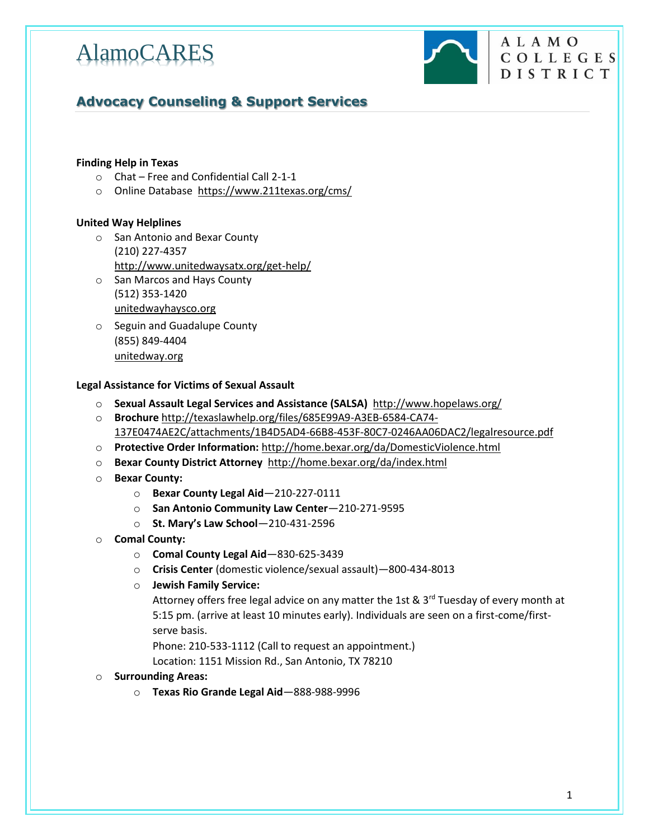

# **ALAMO** COLLEGES DISTRICT

# **Advocacy Counseling & Support Services**

## **[Finding](http://www.governor.state.tx.us/disabilities/) Help in Texas**

- o Chat Free and Confidential Call 2-1-1
- o Online Database<https://www.211texas.org/cms/>

## **United Way Helplines**

- o San Antonio and Bexar County (210) 227-4357 <http://www.unitedwaysatx.org/get-help/>
- o San Marcos and Hays County (512) 353-1420 [unitedwayhaysco.org](http://ri.search.yahoo.com/_ylt=AwrSbnaPv1ZULRAAlOlXNyoA/RV=2/RE=1415000079/RO=10/RU=http%3a%2f%2fwww.unitedwayhaysco.org/RK=0/RS=ZZvwg1z5pDo0432ogL5a0TigNGs-)
- o Seguin and Guadalupe County (855) 849-4404 [unitedway.org](http://ri.search.yahoo.com/_ylt=AwrSbmvUv1ZUglIA14pXNyoA/RV=2/RE=1415000148/RO=10/RU=http%3a%2f%2funitedway.org/RK=0/RS=UkyteLkRl_kUvaHhBQFE3Dek6ss-)

### **Legal Assistance for Victims of Sexual Assault**

- o **Sexual Assault Legal Services and Assistance (SALSA)** <http://www.hopelaws.org/>
- o **Brochure** [http://texaslawhelp.org/files/685E99A9-A3EB-6584-CA74-](http://texaslawhelp.org/files/685E99A9-A3EB-6584-CA74-137E0474AE2C/attachments/1B4D5AD4-66B8-453F-80C7-0246AA06DAC2/legalresource.pdf) [137E0474AE2C/attachments/1B4D5AD4-66B8-453F-80C7-0246AA06DAC2/legalresource.pdf](http://texaslawhelp.org/files/685E99A9-A3EB-6584-CA74-137E0474AE2C/attachments/1B4D5AD4-66B8-453F-80C7-0246AA06DAC2/legalresource.pdf)
- o **Protective Order Information:** <http://home.bexar.org/da/DomesticViolence.html>
- o **Bexar County District Attorney**<http://home.bexar.org/da/index.html>
- o **Bexar County:**
	- o **Bexar County Legal Aid**—210-227-0111
	- o **San Antonio Community Law Center**—210-271-9595
	- o **St. Mary's Law School**—210-431-2596
- o **Comal County:**
	- o **Comal County Legal Aid**—830-625-3439
	- o **Crisis Center** (domestic violence/sexual assault)—800-434-8013
	- o **Jewish Family Service:**

Attorney offers free legal advice on any matter the 1st &  $3<sup>rd</sup>$  Tuesday of every month at 5:15 pm. (arrive at least 10 minutes early). Individuals are seen on a first-come/firstserve basis.

Phone: 210-533-1112 (Call to request an appointment.)

Location: 1151 Mission Rd., San Antonio, TX 78210

### o **Surrounding Areas:**

o **Texas Rio Grande Legal Aid**—888-988-9996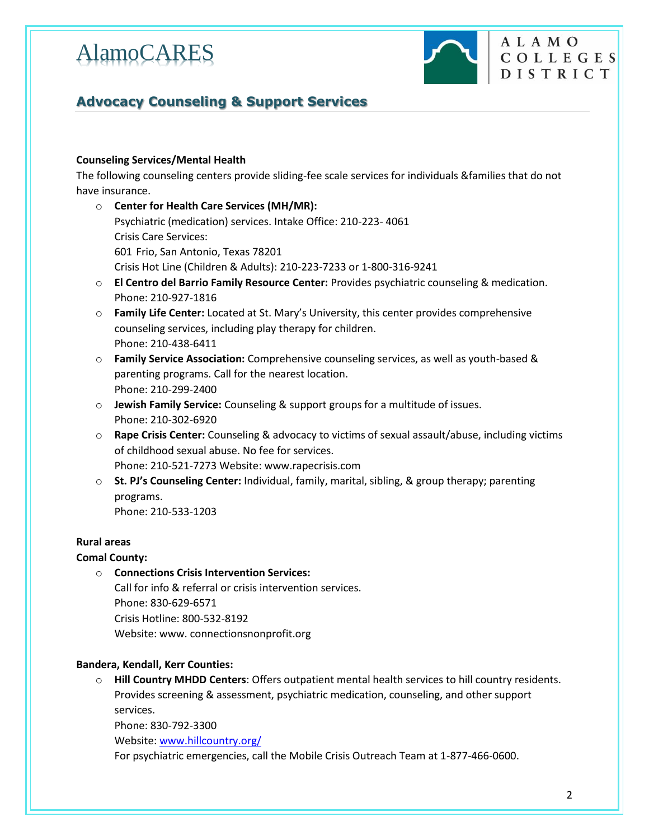

# **Advocacy Counseling & Support Services**

# **Counseling Services/Mental Health**

The following counseling centers provide sliding-fee scale services for individuals &families that do not have insurance.

- o **Center for Health Care Services (MH/MR):** Psychiatric (medication) services. Intake Office: 210-223- 4061 Crisis Care Services: 601 Frio, San Antonio, Texas 78201 Crisis Hot Line (Children & Adults): 210-223-7233 or 1-800-316-9241 o **El Centro del Barrio Family Resource Center:** Provides psychiatric counseling & medication. Phone: 210-927-1816 o **Family Life Center:** Located at St. Mary's University, this center provides comprehensive
- counseling services, including play therapy for children. Phone: 210-438-6411 o **Family Service Association:** Comprehensive counseling services, as well as youth-based &
- parenting programs. Call for the nearest location. Phone: 210-299-2400
- o **Jewish Family Service:** Counseling & support groups for a multitude of issues. Phone: 210-302-6920
- o **Rape Crisis Center:** Counseling & advocacy to victims of sexual assault/abuse, including victims of childhood sexual abuse. No fee for services. Phone: 210-521-7273 Website: www.rapecrisis.com
- o **St. PJ's Counseling Center:** Individual, family, marital, sibling, & group therapy; parenting programs. Phone: 210-533-1203

# **Rural areas**

# **Comal County:**

o **Connections Crisis Intervention Services:** Call for info & referral or crisis intervention services. Phone: 830-629-6571 Crisis Hotline: 800-532-8192 Website: www. connectionsnonprofit.org

# **Bandera, Kendall, Kerr Counties:**

o **Hill Country MHDD Centers**: Offers outpatient mental health services to hill country residents. Provides screening & assessment, psychiatric medication, counseling, and other support services.

Phone: 830-792-3300

Website[: www.hillcountry.org/](http://www.hillcountry.org/)

For psychiatric emergencies, call the Mobile Crisis Outreach Team at 1-877-466-0600.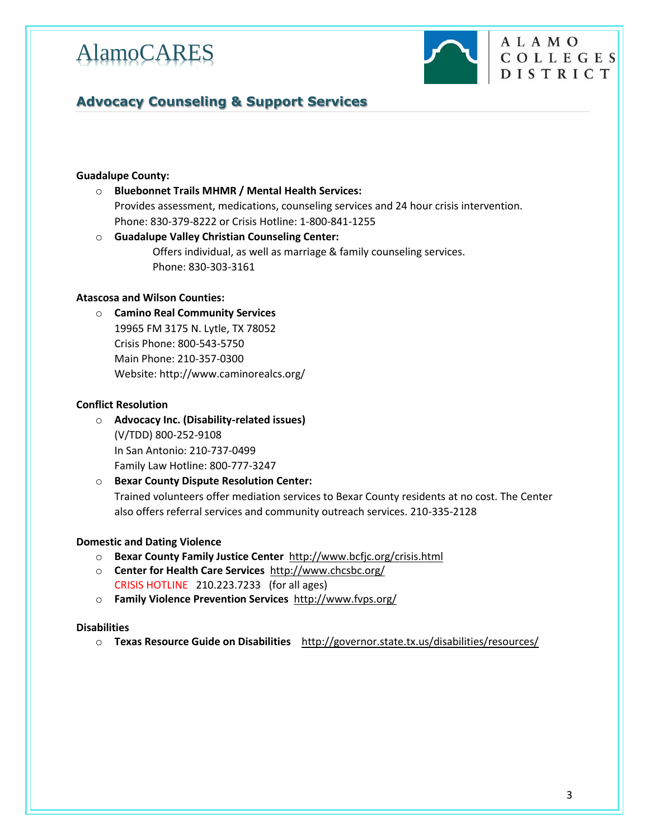

ALAMO

COLLEGES DISTRICT

# **Advocacy Counseling & Support Services**

## **Guadalupe County:**

- o **Bluebonnet Trails MHMR / Mental Health Services:** Provides assessment, medications, counseling services and 24 hour crisis intervention. Phone: 830-379-8222 or Crisis Hotline: 1-800-841-1255
- o **Guadalupe Valley Christian Counseling Center:** Offers individual, as well as marriage & family counseling services. Phone: 830-303-3161

# **Atascosa and Wilson Counties:**

o **Camino Real Community Services**  19965 FM 3175 N. Lytle, TX 78052 Crisis Phone: 800-543-5750 Main Phone: 210-357-0300 Website: http://www.caminorealcs.org/

## **Conflict Resolution**

- o **Advocacy Inc. (Disability-related issues)** (V/TDD) 800-252-9108 In San Antonio: 210-737-0499 Family Law Hotline: 800-777-3247
- o **Bexar County Dispute Resolution Center:** Trained volunteers offer mediation services to Bexar County residents at no cost. The Center also offers referral services and community outreach services. 210-335-2128

## **Domestic and Dating Violence**

- o **Bexar County Family Justice Center**<http://www.bcfjc.org/crisis.html>
- o **Center for Health Care Services** <http://www.chcsbc.org/> CRISIS HOTLINE210.223.7233 (for all ages)
- o **Family Violence Prevention Services** <http://www.fvps.org/>

### **Disabilities**

o **Texas Resource Guide on Disabilities** <http://governor.state.tx.us/disabilities/resources/>